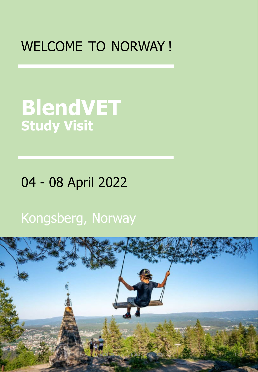## WELCOME TO NORWAY !

# **BlendVET Study Visit**

## 04 - 08 April 2022

## Kongsberg, Norway

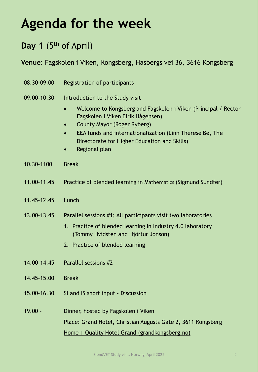## **Agenda for the week**

## Day 1 (5<sup>th</sup> of April)

**Venue:** Fagskolen i Viken, Kongsberg, Hasbergs vei 36, 3616 Kongsberg

- 08.30-09.00 Registration of participants
- 09.00-10.30 Introduction to the Study visit
	- Welcome to Kongsberg and Fagskolen i Viken (Principal / Rector Fagskolen i Viken Eirik Hågensen)
	- County Mayor (Roger Ryberg)
	- EEA funds and internationalization (Linn Therese Bø, The Directorate for Higher Education and Skills)
	- Regional plan
- 10.30-1100 Break
- 11.00-11.45 Practice of blended learning in Mathematics (Sigmund Sundfør)
- 11.45-12.45 Lunch
- 13.00-13.45 Parallel sessions #1; All participants visit two laboratories
	- 1. Practice of blended learning in Industry 4.0 laboratory (Tommy Hvidsten and Hjörtur Jonson)
	- 2. Practice of blended learning
- 14.00-14.45 Parallel sessions #2
- 14.45-15.00 Break
- 15.00-16.30 SI and IS short input Discussion
- 19.00 Dinner, hosted by Fagskolen i Viken Place: Grand Hotel, Christian Augusts Gate 2, 3611 Kongsberg Home | Quality Hotel [Grand \(grandkongsberg.no\)](https://www.grandkongsberg.no/)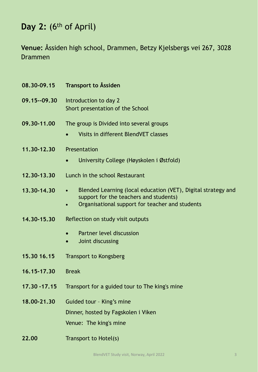## Day 2: (6<sup>th</sup> of April)

**Venue:** Åssiden high school, Drammen, Betzy Kjelsbergs vei 267, 3028 Drammen

| 08.30-09.15    | <b>Transport to Åssiden</b>                                                                                                                                |
|----------------|------------------------------------------------------------------------------------------------------------------------------------------------------------|
| 09.15 -- 09.30 | Introduction to day 2<br>Short presentation of the School                                                                                                  |
| 09.30-11.00    | The group is Divided into several groups<br>Visits in different BlendVET classes<br>$\bullet$                                                              |
| 11,30-12,30    | Presentation<br>University College (Høyskolen i Østfold)                                                                                                   |
| 12.30-13.30    | Lunch in the school Restaurant                                                                                                                             |
| 13.30-14.30    | Blended Learning (local education (VET), Digital strategy and<br>support for the teachers and students)<br>Organisational support for teacher and students |
| 14.30-15.30    | Reflection on study visit outputs                                                                                                                          |
|                | Partner level discussion<br>Joint discussing<br>$\bullet$                                                                                                  |
| 15,30 16,15    | <b>Transport to Kongsberg</b>                                                                                                                              |
| 16.15-17.30    | <b>Break</b>                                                                                                                                               |
| 17,30 - 17,15  | Transport for a guided tour to The king's mine                                                                                                             |
| 18.00-21.30    | Guided tour - King's mine<br>Dinner, hosted by Fagskolen i Viken<br>Venue: The king's mine                                                                 |
| 22.00          | Transport to Hotel(s)                                                                                                                                      |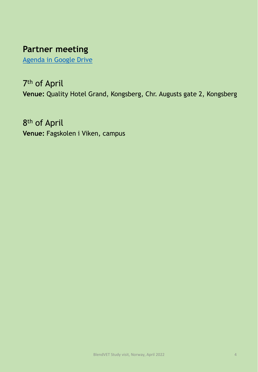## **Partner meeting**

[Agenda in Google Drive](https://docs.google.com/document/d/16ntaDGK5iajT1OSJ7Ng3yOe2fbXwpLvf/edit)

## 7th of April

**Venue:** Quality Hotel Grand, Kongsberg, Chr. Augusts gate 2, Kongsberg

8th of April **Venue:** Fagskolen i Viken, campus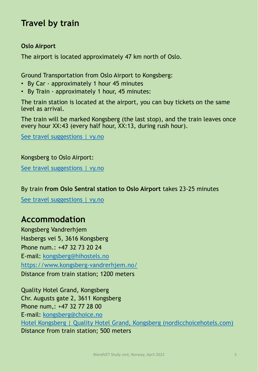### **Travel by train**

#### **Oslo Airport**

The airport is located approximately 47 km north of Oslo.

Ground Transportation from Oslo Airport to Kongsberg:

- By Car approximately 1 hour 45 minutes
- By Train approximately 1 hour, 45 minutes:

The train station is located at the airport, you can buy tickets on the same level as arrival.

The train will be marked Kongsberg (the last stop), and the train leaves once every hour XX:43 (every half hour, XX:13, during rush hour).

[See travel suggestions | vy.no](https://www.vy.no/en/see-travel-suggestions?from=Oslo%20lufthavn&to=Kongsberg%20Stasjon&fromDateTime=2022-04-04T08%3A00%3A04.966Z&fromExternalId=NSR%3ANSR%3AStopPlace%3A58211%2CSILVER_RAIL%3A220%3A76&addons=W3sidHlwZSI6ImJpY3ljbGUiLCJudW1iZXJUb0J1eSI6MH0seyJ0eXBlIjoibGFyZ2VfYW5pbWFsIiwibnVtYmVyVG9CdXkiOjB9LHsidHlwZSI6InNtYWxsX2FuaW1hbCIsIm51bWJlclRvQnV5IjowfSx7InR5cGUiOiJzdHJvbGxlciIsIm51bWJlclRvQnV5IjowfSx7InR5cGUiOiJ3aGVlbGNoYWlyIiwibnVtYmVyVG9CdXkiOjB9XQ%3D%3D&fromPosition=60.193361,11.097887&toPosition=59.673004,9.648122)

Kongsberg to Oslo Airport: [See travel suggestions](https://www.vy.no/en/see-travel-suggestions?from=Kongsberg%20stasjon&to=Oslo%20lufthavn&fromDateTime=2022-04-08T04%3A00%3A04.966Z&fromExternalId=NSR%3ANSR%3AStopPlace%3A60603%2CSILVER_RAIL%3A1631%3A76&toExternalId=NSR%3ANSR%3AStopPlace%3A58211%2CSILVER_RAIL%3A220%3A76&addons=W3sidHlwZSI6ImJpY3ljbGUiLCJudW1iZXJUb0J1eSI6MH0seyJ0eXBlIjoibGFyZ2VfYW5pbWFsIiwibnVtYmVyVG9CdXkiOjB9LHsidHlwZSI6InNtYWxsX2FuaW1hbCIsIm51bWJlclRvQnV5IjowfSx7InR5cGUiOiJzdHJvbGxlciIsIm51bWJlclRvQnV5IjowfSx7InR5cGUiOiJ3aGVlbGNoYWlyIiwibnVtYmVyVG9CdXkiOjB9XQ%3D%3D&fromPosition=59.67227,9.651194&toPosition=60.193361,11.097887) | vy.no

#### By train **from Oslo Sentral station to Oslo Airport** takes 23-25 minutes

[See travel suggestions | vy.no](https://www.vy.no/en/see-travel-suggestions?from=Oslo%20S&to=Oslo%20lufthavn&fromDateTime=2022-04-09T08%3A00%3A04.966Z&fromExternalId=NSR%3ANSR%3AStopPlace%3A59872%2CSILVER_RAIL%3A100%3A76&toExternalId=NSR%3ANSR%3AStopPlace%3A58211%2CSILVER_RAIL%3A220%3A76&addons=W3sidHlwZSI6ImJpY3ljbGUiLCJudW1iZXJUb0J1eSI6MH0seyJ0eXBlIjoibGFyZ2VfYW5pbWFsIiwibnVtYmVyVG9CdXkiOjB9LHsidHlwZSI6InNtYWxsX2FuaW1hbCIsIm51bWJlclRvQnV5IjowfSx7InR5cGUiOiJzdHJvbGxlciIsIm51bWJlclRvQnV5IjowfSx7InR5cGUiOiJ3aGVlbGNoYWlyIiwibnVtYmVyVG9CdXkiOjB9XQ%3D%3D&fromPosition=59.910357,10.753051&toPosition=60.193361,11.097887)

### **Accommodation**

Kongsberg Vandrerhjem Hasbergs vei 5, 3616 Kongsberg Phone num.: +47 32 73 20 24 E-mail: [kongsberg@hihostels.no](mailto:kongsberg@hihostels.no) <https://www.kongsberg-vandrerhjem.no/> Distance from train station; 1200 meters

Quality Hotel Grand, Kongsberg Chr. Augusts gate 2, 3611 Kongsberg Phone num,: +47 32 77 28 00 E-mail: [kongsberg@choice.no](mailto:kongsberg@choice.no) [Hotel Kongsberg | Quality Hotel Grand, Kongsberg \(nordicchoicehotels.com\)](https://www.nordicchoicehotels.com/hotels/norway/kongsberg/quality-hotel-grand-kongsberg/?_ga=2.134447473.1023017205.1646902848-1529165802.1613046382) Distance from train station; 500 meters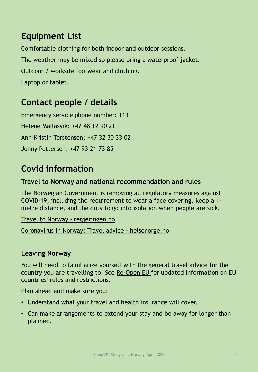## **Equipment List**

Comfortable clothing for both indoor and outdoor sessions. The weather may be mixed so please bring a waterproof jacket. Outdoor / worksite footwear and clothing. Laptop or tablet.

## **Contact people / details**

Emergency service phone number: 113 Helene Mallasvik; +47 48 12 90 21 Ann-Kristin Torstensen; +47 32 30 33 02 Jonny Pettersen; +47 93 21 73 85

## **Covid information**

#### **Travel to Norway and national recommendation and rules**

The Norwegian Government is removing all regulatory measures against COVID-19, including the requirement to wear a face covering, keep a 1 metre distance, and the duty to go into isolation when people are sick.

[Travel to Norway -](https://www.regjeringen.no/en/topics/koronavirus-covid-19/travel-to-norway/id2791503/) regjeringen.no

[Coronavirus in Norway: Travel advice -](https://www.helsenorge.no/en/coronavirus/international-travels) helsenorge.no

#### **Leaving Norway**

You will need to familiarize yourself with the general travel advice for the country you are travelling to. See [Re-Open EU](https://reopen.europa.eu/en) for updated information on EU countries' rules and restrictions.

Plan ahead and make sure you:

- Understand what your travel and health insurance will cover.
- Can make arrangements to extend your stay and be away for longer than planned.